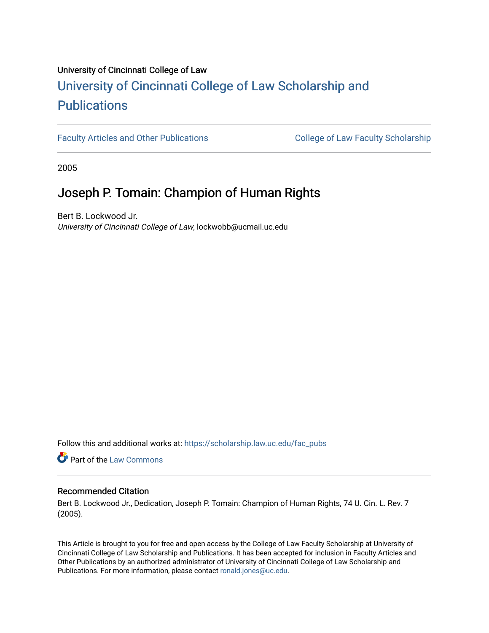# University of Cincinnati College of Law [University of Cincinnati College of Law Scholarship and](https://scholarship.law.uc.edu/) **Publications**

[Faculty Articles and Other Publications](https://scholarship.law.uc.edu/fac_pubs) **College of Law Faculty Scholarship** 

2005

## Joseph P. Tomain: Champion of Human Rights

Bert B. Lockwood Jr. University of Cincinnati College of Law, lockwobb@ucmail.uc.edu

Follow this and additional works at: [https://scholarship.law.uc.edu/fac\\_pubs](https://scholarship.law.uc.edu/fac_pubs?utm_source=scholarship.law.uc.edu%2Ffac_pubs%2F456&utm_medium=PDF&utm_campaign=PDFCoverPages)

**Part of the [Law Commons](https://network.bepress.com/hgg/discipline/578?utm_source=scholarship.law.uc.edu%2Ffac_pubs%2F456&utm_medium=PDF&utm_campaign=PDFCoverPages)** 

#### Recommended Citation

Bert B. Lockwood Jr., Dedication, Joseph P. Tomain: Champion of Human Rights, 74 U. Cin. L. Rev. 7 (2005).

This Article is brought to you for free and open access by the College of Law Faculty Scholarship at University of Cincinnati College of Law Scholarship and Publications. It has been accepted for inclusion in Faculty Articles and Other Publications by an authorized administrator of University of Cincinnati College of Law Scholarship and Publications. For more information, please contact [ronald.jones@uc.edu](mailto:ronald.jones@uc.edu).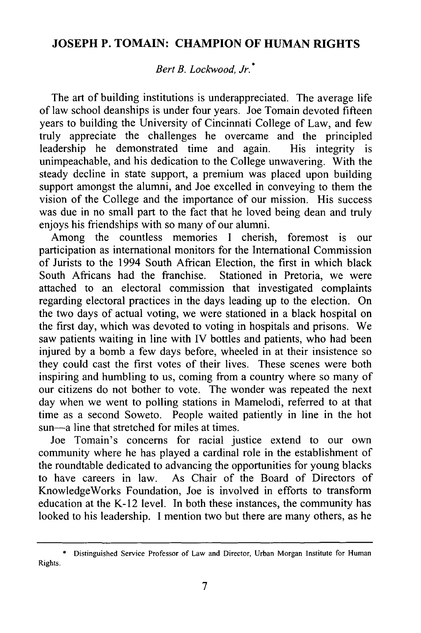### **JOSEPH P. TOMAIN: CHAMPION OF HUMAN RIGHTS**

#### *Bert B. Lockwood, Jr.•*

The art of building institutions is underappreciated. The average life of law school deanships is under four years. Joe Tomain devoted fifteen years to building the University of Cincinnati College of Law, and few truly appreciate the challenges he overcame and the principled leadership he demonstrated time and again. His integrity is unimpeachable, and his dedication to the College unwavering. With the steady decline in state support, a premium was placed upon building support amongst the alumni, and Joe excelled in conveying to them the vision of the College and the importance of our mission. His success was due in no small part to the fact that he loved being dean and truly enjoys his friendships with so many of our alumni.

Among the countless memories I cherish, foremost is our participation as international monitors for the International Commission of Jurists to the 1994 South African Election, the first in which black<br>South Africans had the franchise. Stationed in Pretoria, we were South Africans had the franchise. attached to an electoral commission that investigated complaints regarding electoral practices in the days leading up to the election. On the two days of actual voting, we were stationed in a black hospital on the first day, which was devoted to voting in hospitals and prisons. We saw patients waiting in line with IV bottles and patients, who had been injured by a bomb a few days before, wheeled in at their insistence so they could cast the first votes of their lives. These scenes were both inspiring and humbling to us, coming from a country where so many of our citizens do not bother to vote. The wonder was repeated the next day when we went to polling stations in Mamelodi, referred to at that time as a second Soweto. People waited patiently in line in the hot sun—a line that stretched for miles at times.

Joe Tomain's concerns for racial justice extend to our own community where he has played a cardinal role in the establishment of the roundtable dedicated to advancing the opportunities for young blacks to have careers in law. As Chair of the Board of Directors of KnowledgeWorks Foundation, Joe is involved in efforts to transform education at the K-12 level. In both these instances, the community has looked to his leadership. I mention two but there are many others, as he

<sup>\*</sup> Distinguished Service Professor of Law and Director, Urban Morgan Institute for Human Rights.